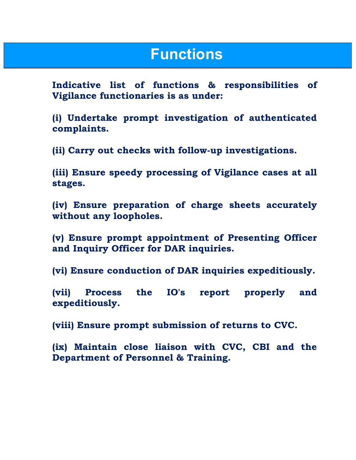## Functions

Indicative list of functions & responsibilities of Vigilance functionaries is as under:

(i) Undertake prompt investigation of authenticated complaints.

(ii) Carry out checks with follow-up investigations.

(iii) Ensure speedy processing of Vigilance cases at all stages.

(iv) Ensure preparation of charge sheets accurately without any loopholes.

(v) Ensure prompt appointment of Presenting Officer and Inquiry Officer for DAR inquiries.

(vi) Ensure conduction of DAR inquiries expeditiously.

(vii) Process the IO's report properly and expeditiously.

(viii) Ensure prompt submission of returns to CVC.

(ix) Maintain close liaison with CVC, CBI and the Department of Personnel & Training.